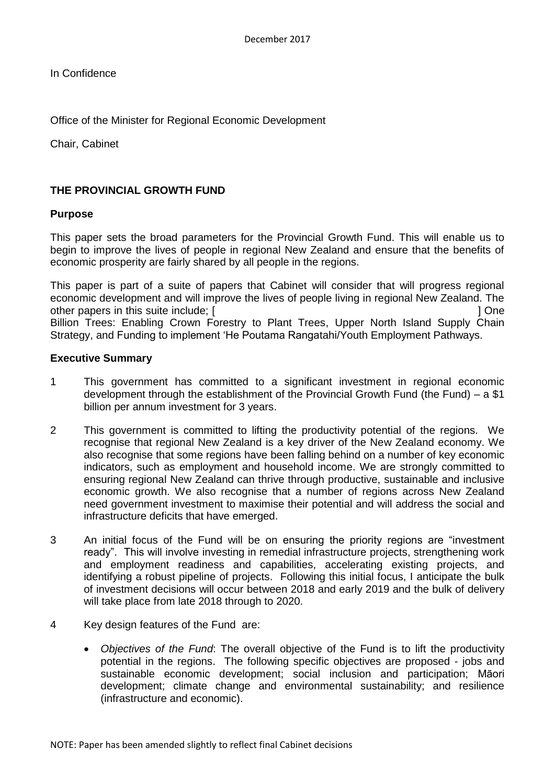In Confidence

Office of the Minister for Regional Economic Development

Chair, Cabinet

# **THE PROVINCIAL GROWTH FUND**

## **Purpose**

This paper sets the broad parameters for the Provincial Growth Fund. This will enable us to begin to improve the lives of people in regional New Zealand and ensure that the benefits of economic prosperity are fairly shared by all people in the regions.

This paper is part of a suite of papers that Cabinet will consider that will progress regional economic development and will improve the lives of people living in regional New Zealand. The other papers in this suite include; [ ] One [Billion Trees: Enabling Crown Forestry to Plant Trees,](https://cabnet.dpmc.govt.nz/share/page/document-details?nodeRef=workspace://SpacesStore/8f4e9256-a54e-4ecd-9fe9-23ebe09877e1) [Upper North Island Supply Chain](https://cabnet.dpmc.govt.nz/share/page/document-details?nodeRef=workspace://SpacesStore/ba263c2e-91c3-427a-addc-79a415b0b28b)  [Strategy,](https://cabnet.dpmc.govt.nz/share/page/document-details?nodeRef=workspace://SpacesStore/ba263c2e-91c3-427a-addc-79a415b0b28b) and Funding to implement 'He Poutama Rangatahi/Youth Employment Pathways.

## **Executive Summary**

- 1 This government has committed to a significant investment in regional economic development through the establishment of the Provincial Growth Fund (the Fund) – a \$1 billion per annum investment for 3 years.
- 2 This government is committed to lifting the productivity potential of the regions. We recognise that regional New Zealand is a key driver of the New Zealand economy. We also recognise that some regions have been falling behind on a number of key economic indicators, such as employment and household income. We are strongly committed to ensuring regional New Zealand can thrive through productive, sustainable and inclusive economic growth. We also recognise that a number of regions across New Zealand need government investment to maximise their potential and will address the social and infrastructure deficits that have emerged.
- 3 An initial focus of the Fund will be on ensuring the priority regions are "investment ready". This will involve investing in remedial infrastructure projects, strengthening work and employment readiness and capabilities, accelerating existing projects, and identifying a robust pipeline of projects. Following this initial focus, I anticipate the bulk of investment decisions will occur between 2018 and early 2019 and the bulk of delivery will take place from late 2018 through to 2020.
- 4 Key design features of the Fund are:
	- *Objectives of the Fund*: The overall objective of the Fund is to lift the productivity potential in the regions. The following specific objectives are proposed - jobs and sustainable economic development; social inclusion and participation; Māori development; climate change and environmental sustainability; and resilience (infrastructure and economic).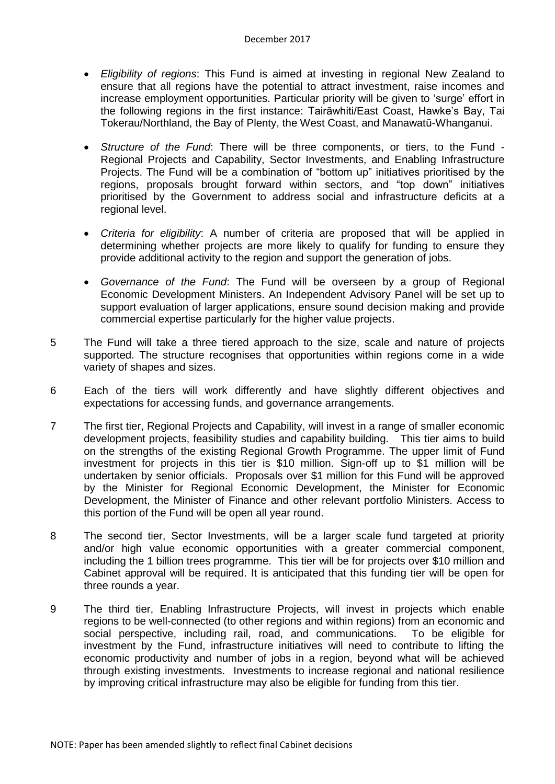- *Eligibility of regions*: This Fund is aimed at investing in regional New Zealand to ensure that all regions have the potential to attract investment, raise incomes and increase employment opportunities. Particular priority will be given to 'surge' effort in the following regions in the first instance: Tairāwhiti/East Coast, Hawke's Bay, Tai Tokerau/Northland, the Bay of Plenty, the West Coast, and Manawatū-Whanganui.
- *Structure of the Fund*: There will be three components, or tiers, to the Fund Regional Projects and Capability, Sector Investments, and Enabling Infrastructure Projects. The Fund will be a combination of "bottom up" initiatives prioritised by the regions, proposals brought forward within sectors, and "top down" initiatives prioritised by the Government to address social and infrastructure deficits at a regional level.
- *Criteria for eligibility*: A number of criteria are proposed that will be applied in determining whether projects are more likely to qualify for funding to ensure they provide additional activity to the region and support the generation of jobs.
- *Governance of the Fund*: The Fund will be overseen by a group of Regional Economic Development Ministers. An Independent Advisory Panel will be set up to support evaluation of larger applications, ensure sound decision making and provide commercial expertise particularly for the higher value projects.
- 5 The Fund will take a three tiered approach to the size, scale and nature of projects supported. The structure recognises that opportunities within regions come in a wide variety of shapes and sizes.
- 6 Each of the tiers will work differently and have slightly different objectives and expectations for accessing funds, and governance arrangements.
- 7 The first tier, Regional Projects and Capability, will invest in a range of smaller economic development projects, feasibility studies and capability building. This tier aims to build on the strengths of the existing Regional Growth Programme. The upper limit of Fund investment for projects in this tier is \$10 million. Sign-off up to \$1 million will be undertaken by senior officials. Proposals over \$1 million for this Fund will be approved by the Minister for Regional Economic Development, the Minister for Economic Development, the Minister of Finance and other relevant portfolio Ministers. Access to this portion of the Fund will be open all year round.
- 8 The second tier, Sector Investments, will be a larger scale fund targeted at priority and/or high value economic opportunities with a greater commercial component, including the 1 billion trees programme. This tier will be for projects over \$10 million and Cabinet approval will be required. It is anticipated that this funding tier will be open for three rounds a year.
- 9 The third tier, Enabling Infrastructure Projects, will invest in projects which enable regions to be well-connected (to other regions and within regions) from an economic and social perspective, including rail, road, and communications. To be eligible for investment by the Fund, infrastructure initiatives will need to contribute to lifting the economic productivity and number of jobs in a region, beyond what will be achieved through existing investments. Investments to increase regional and national resilience by improving critical infrastructure may also be eligible for funding from this tier.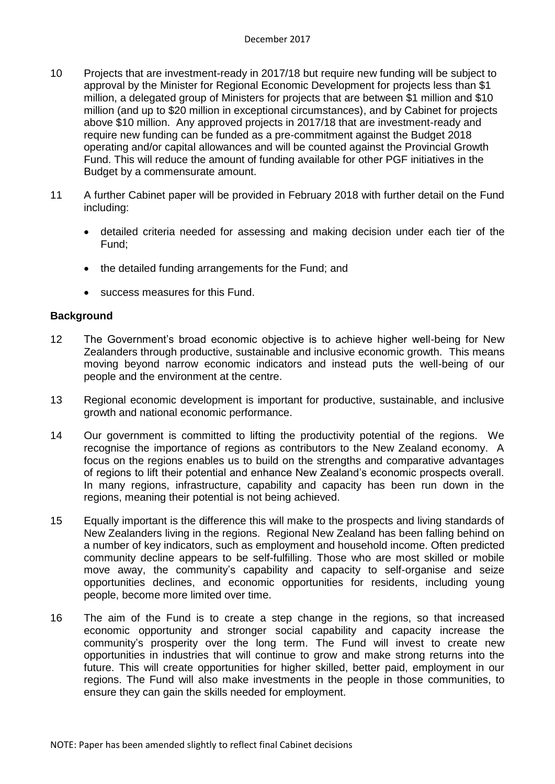- 10 Projects that are investment-ready in 2017/18 but require new funding will be subject to approval by the Minister for Regional Economic Development for projects less than \$1 million, a delegated group of Ministers for projects that are between \$1 million and \$10 million (and up to \$20 million in exceptional circumstances), and by Cabinet for projects above \$10 million. Any approved projects in 2017/18 that are investment-ready and require new funding can be funded as a pre-commitment against the Budget 2018 operating and/or capital allowances and will be counted against the Provincial Growth Fund. This will reduce the amount of funding available for other PGF initiatives in the Budget by a commensurate amount.
- 11 A further Cabinet paper will be provided in February 2018 with further detail on the Fund including:
	- detailed criteria needed for assessing and making decision under each tier of the Fund;
	- the detailed funding arrangements for the Fund; and
	- success measures for this Fund.

## **Background**

- 12 The Government's broad economic objective is to achieve higher well-being for New Zealanders through productive, sustainable and inclusive economic growth. This means moving beyond narrow economic indicators and instead puts the well-being of our people and the environment at the centre.
- 13 Regional economic development is important for productive, sustainable, and inclusive growth and national economic performance.
- 14 Our government is committed to lifting the productivity potential of the regions. We recognise the importance of regions as contributors to the New Zealand economy. A focus on the regions enables us to build on the strengths and comparative advantages of regions to lift their potential and enhance New Zealand's economic prospects overall. In many regions, infrastructure, capability and capacity has been run down in the regions, meaning their potential is not being achieved.
- 15 Equally important is the difference this will make to the prospects and living standards of New Zealanders living in the regions. Regional New Zealand has been falling behind on a number of key indicators, such as employment and household income. Often predicted community decline appears to be self-fulfilling. Those who are most skilled or mobile move away, the community's capability and capacity to self-organise and seize opportunities declines, and economic opportunities for residents, including young people, become more limited over time.
- 16 The aim of the Fund is to create a step change in the regions, so that increased economic opportunity and stronger social capability and capacity increase the community's prosperity over the long term. The Fund will invest to create new opportunities in industries that will continue to grow and make strong returns into the future. This will create opportunities for higher skilled, better paid, employment in our regions. The Fund will also make investments in the people in those communities, to ensure they can gain the skills needed for employment.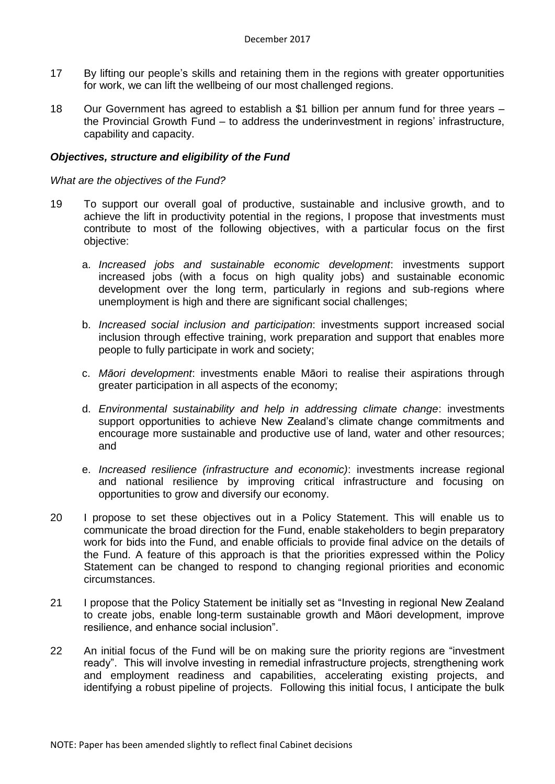- 17 By lifting our people's skills and retaining them in the regions with greater opportunities for work, we can lift the wellbeing of our most challenged regions.
- 18 Our Government has agreed to establish a \$1 billion per annum fund for three years the Provincial Growth Fund – to address the underinvestment in regions' infrastructure, capability and capacity.

## *Objectives, structure and eligibility of the Fund*

## *What are the objectives of the Fund?*

- 19 To support our overall goal of productive, sustainable and inclusive growth, and to achieve the lift in productivity potential in the regions, I propose that investments must contribute to most of the following objectives, with a particular focus on the first objective:
	- a. *Increased jobs and sustainable economic development*: investments support increased jobs (with a focus on high quality jobs) and sustainable economic development over the long term, particularly in regions and sub-regions where unemployment is high and there are significant social challenges;
	- b. *Increased social inclusion and participation*: investments support increased social inclusion through effective training, work preparation and support that enables more people to fully participate in work and society;
	- c. *Māori development*: investments enable Māori to realise their aspirations through greater participation in all aspects of the economy;
	- d. *Environmental sustainability and help in addressing climate change*: investments support opportunities to achieve New Zealand's climate change commitments and encourage more sustainable and productive use of land, water and other resources; and
	- e. *Increased resilience (infrastructure and economic)*: investments increase regional and national resilience by improving critical infrastructure and focusing on opportunities to grow and diversify our economy.
- 20 I propose to set these objectives out in a Policy Statement. This will enable us to communicate the broad direction for the Fund, enable stakeholders to begin preparatory work for bids into the Fund, and enable officials to provide final advice on the details of the Fund. A feature of this approach is that the priorities expressed within the Policy Statement can be changed to respond to changing regional priorities and economic circumstances.
- 21 I propose that the Policy Statement be initially set as "Investing in regional New Zealand to create jobs, enable long-term sustainable growth and Māori development, improve resilience, and enhance social inclusion".
- 22 An initial focus of the Fund will be on making sure the priority regions are "investment ready". This will involve investing in remedial infrastructure projects, strengthening work and employment readiness and capabilities, accelerating existing projects, and identifying a robust pipeline of projects. Following this initial focus, I anticipate the bulk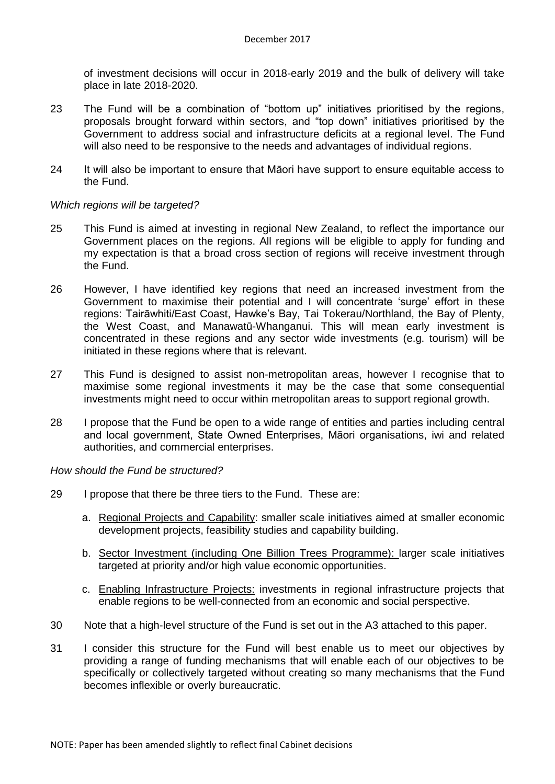of investment decisions will occur in 2018-early 2019 and the bulk of delivery will take place in late 2018-2020.

- 23 The Fund will be a combination of "bottom up" initiatives prioritised by the regions, proposals brought forward within sectors, and "top down" initiatives prioritised by the Government to address social and infrastructure deficits at a regional level. The Fund will also need to be responsive to the needs and advantages of individual regions.
- 24 It will also be important to ensure that Māori have support to ensure equitable access to the Fund.

## *Which regions will be targeted?*

- 25 This Fund is aimed at investing in regional New Zealand, to reflect the importance our Government places on the regions. All regions will be eligible to apply for funding and my expectation is that a broad cross section of regions will receive investment through the Fund.
- 26 However, I have identified key regions that need an increased investment from the Government to maximise their potential and I will concentrate 'surge' effort in these regions: Tairāwhiti/East Coast, Hawke's Bay, Tai Tokerau/Northland, the Bay of Plenty, the West Coast, and Manawatū-Whanganui. This will mean early investment is concentrated in these regions and any sector wide investments (e.g. tourism) will be initiated in these regions where that is relevant.
- 27 This Fund is designed to assist non-metropolitan areas, however I recognise that to maximise some regional investments it may be the case that some consequential investments might need to occur within metropolitan areas to support regional growth.
- 28 I propose that the Fund be open to a wide range of entities and parties including central and local government, State Owned Enterprises, Māori organisations, iwi and related authorities, and commercial enterprises.

## *How should the Fund be structured?*

- 29 I propose that there be three tiers to the Fund. These are:
	- a. Regional Projects and Capability: smaller scale initiatives aimed at smaller economic development projects, feasibility studies and capability building.
	- b. Sector Investment (including One Billion Trees Programme): larger scale initiatives targeted at priority and/or high value economic opportunities.
	- c. Enabling Infrastructure Projects: investments in regional infrastructure projects that enable regions to be well-connected from an economic and social perspective.
- 30 Note that a high-level structure of the Fund is set out in the A3 attached to this paper.
- 31 I consider this structure for the Fund will best enable us to meet our objectives by providing a range of funding mechanisms that will enable each of our objectives to be specifically or collectively targeted without creating so many mechanisms that the Fund becomes inflexible or overly bureaucratic.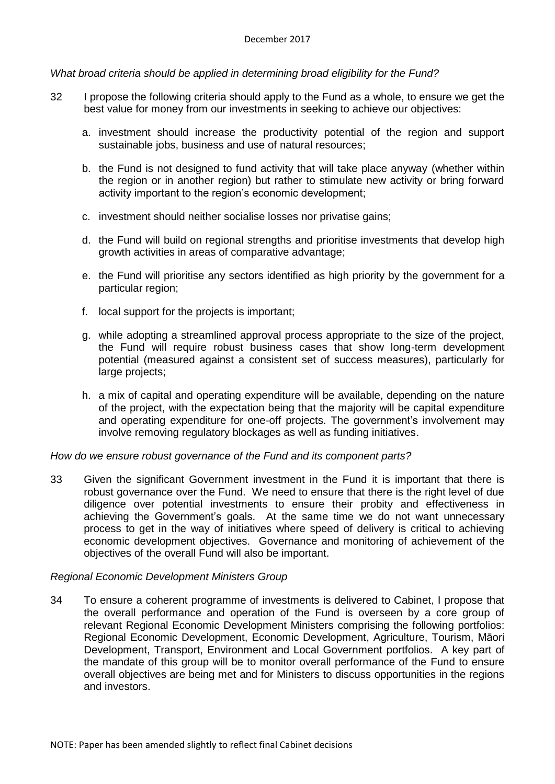## *What broad criteria should be applied in determining broad eligibility for the Fund?*

- 32 I propose the following criteria should apply to the Fund as a whole, to ensure we get the best value for money from our investments in seeking to achieve our objectives:
	- a. investment should increase the productivity potential of the region and support sustainable jobs, business and use of natural resources;
	- b. the Fund is not designed to fund activity that will take place anyway (whether within the region or in another region) but rather to stimulate new activity or bring forward activity important to the region's economic development;
	- c. investment should neither socialise losses nor privatise gains;
	- d. the Fund will build on regional strengths and prioritise investments that develop high growth activities in areas of comparative advantage;
	- e. the Fund will prioritise any sectors identified as high priority by the government for a particular region;
	- f. local support for the projects is important;
	- g. while adopting a streamlined approval process appropriate to the size of the project, the Fund will require robust business cases that show long-term development potential (measured against a consistent set of success measures), particularly for large projects;
	- h. a mix of capital and operating expenditure will be available, depending on the nature of the project, with the expectation being that the majority will be capital expenditure and operating expenditure for one-off projects. The government's involvement may involve removing regulatory blockages as well as funding initiatives.

## *How do we ensure robust governance of the Fund and its component parts?*

33 Given the significant Government investment in the Fund it is important that there is robust governance over the Fund. We need to ensure that there is the right level of due diligence over potential investments to ensure their probity and effectiveness in achieving the Government's goals. At the same time we do not want unnecessary process to get in the way of initiatives where speed of delivery is critical to achieving economic development objectives. Governance and monitoring of achievement of the objectives of the overall Fund will also be important.

## *Regional Economic Development Ministers Group*

34 To ensure a coherent programme of investments is delivered to Cabinet, I propose that the overall performance and operation of the Fund is overseen by a core group of relevant Regional Economic Development Ministers comprising the following portfolios: Regional Economic Development, Economic Development, Agriculture, Tourism, Māori Development, Transport, Environment and Local Government portfolios. A key part of the mandate of this group will be to monitor overall performance of the Fund to ensure overall objectives are being met and for Ministers to discuss opportunities in the regions and investors.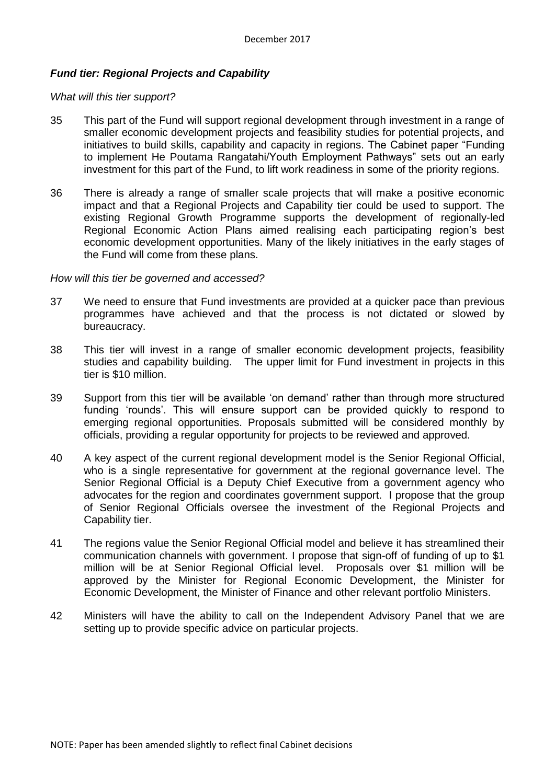## *Fund tier: Regional Projects and Capability*

#### *What will this tier support?*

- 35 This part of the Fund will support regional development through investment in a range of smaller economic development projects and feasibility studies for potential projects, and initiatives to build skills, capability and capacity in regions. The Cabinet paper "Funding to implement He Poutama Rangatahi/Youth Employment Pathways" sets out an early investment for this part of the Fund, to lift work readiness in some of the priority regions.
- 36 There is already a range of smaller scale projects that will make a positive economic impact and that a Regional Projects and Capability tier could be used to support. The existing Regional Growth Programme supports the development of regionally-led Regional Economic Action Plans aimed realising each participating region's best economic development opportunities. Many of the likely initiatives in the early stages of the Fund will come from these plans.

#### *How will this tier be governed and accessed?*

- 37 We need to ensure that Fund investments are provided at a quicker pace than previous programmes have achieved and that the process is not dictated or slowed by bureaucracy.
- 38 This tier will invest in a range of smaller economic development projects, feasibility studies and capability building. The upper limit for Fund investment in projects in this tier is \$10 million.
- 39 Support from this tier will be available 'on demand' rather than through more structured funding 'rounds'. This will ensure support can be provided quickly to respond to emerging regional opportunities. Proposals submitted will be considered monthly by officials, providing a regular opportunity for projects to be reviewed and approved.
- 40 A key aspect of the current regional development model is the Senior Regional Official, who is a single representative for government at the regional governance level. The Senior Regional Official is a Deputy Chief Executive from a government agency who advocates for the region and coordinates government support. I propose that the group of Senior Regional Officials oversee the investment of the Regional Projects and Capability tier.
- 41 The regions value the Senior Regional Official model and believe it has streamlined their communication channels with government. I propose that sign-off of funding of up to \$1 million will be at Senior Regional Official level. Proposals over \$1 million will be approved by the Minister for Regional Economic Development, the Minister for Economic Development, the Minister of Finance and other relevant portfolio Ministers.
- 42 Ministers will have the ability to call on the Independent Advisory Panel that we are setting up to provide specific advice on particular projects.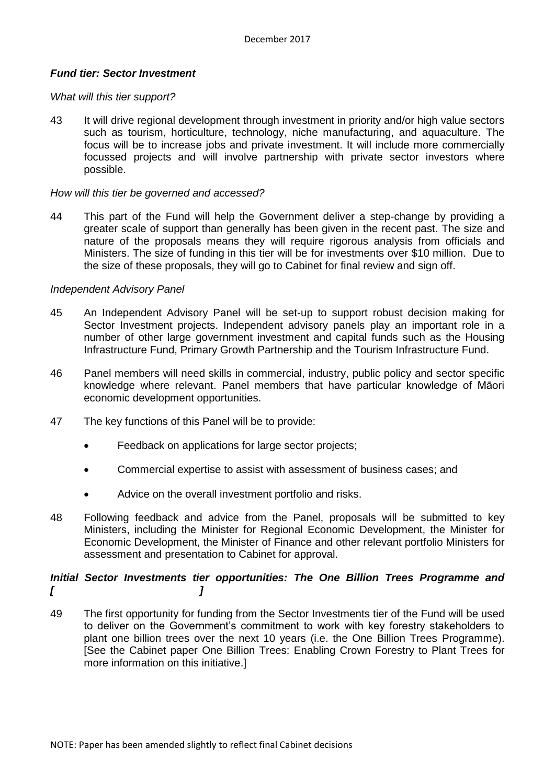## *Fund tier: Sector Investment*

### *What will this tier support?*

43 It will drive regional development through investment in priority and/or high value sectors such as tourism, horticulture, technology, niche manufacturing, and aquaculture. The focus will be to increase jobs and private investment. It will include more commercially focussed projects and will involve partnership with private sector investors where possible.

### *How will this tier be governed and accessed?*

44 This part of the Fund will help the Government deliver a step-change by providing a greater scale of support than generally has been given in the recent past. The size and nature of the proposals means they will require rigorous analysis from officials and Ministers. The size of funding in this tier will be for investments over \$10 million. Due to the size of these proposals, they will go to Cabinet for final review and sign off.

#### *Independent Advisory Panel*

- 45 An Independent Advisory Panel will be set-up to support robust decision making for Sector Investment projects. Independent advisory panels play an important role in a number of other large government investment and capital funds such as the Housing Infrastructure Fund, Primary Growth Partnership and the Tourism Infrastructure Fund.
- 46 Panel members will need skills in commercial, industry, public policy and sector specific knowledge where relevant. Panel members that have particular knowledge of Māori economic development opportunities.
- 47 The key functions of this Panel will be to provide:
	- Feedback on applications for large sector projects:
	- Commercial expertise to assist with assessment of business cases; and
	- Advice on the overall investment portfolio and risks.
- 48 Following feedback and advice from the Panel, proposals will be submitted to key Ministers, including the Minister for Regional Economic Development, the Minister for Economic Development, the Minister of Finance and other relevant portfolio Ministers for assessment and presentation to Cabinet for approval.

# *Initial Sector Investments tier opportunities: The One Billion Trees Programme and [ ]*

49 The first opportunity for funding from the Sector Investments tier of the Fund will be used to deliver on the Government's commitment to work with key forestry stakeholders to plant one billion trees over the next 10 years (i.e. the One Billion Trees Programme). [See the Cabinet paper [One Billion Trees: Enabling Crown Forestry to Plant Trees](https://cabnet.dpmc.govt.nz/share/page/document-details?nodeRef=workspace://SpacesStore/8f4e9256-a54e-4ecd-9fe9-23ebe09877e1) for more information on this initiative.]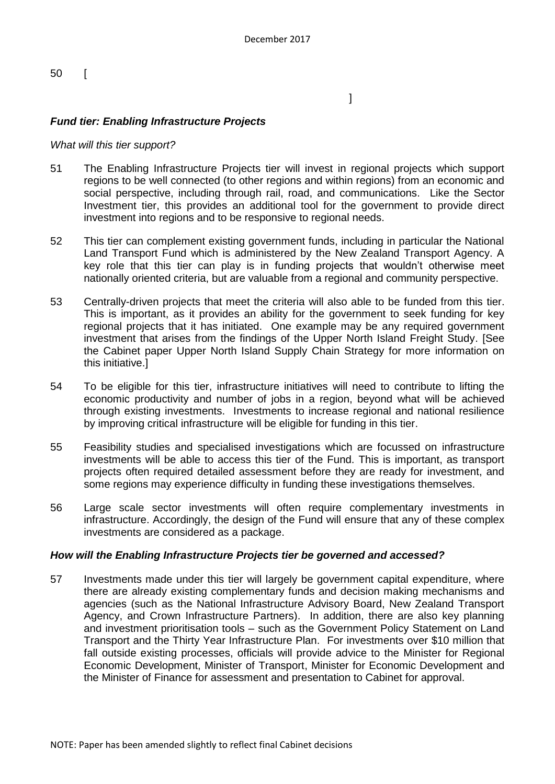50 [

 $\mathbb{R}^n$  , the contract of the contract of the contract  $\mathbb{R}^n$ 

# *Fund tier: Enabling Infrastructure Projects*

## *What will this tier support?*

- 51 The Enabling Infrastructure Projects tier will invest in regional projects which support regions to be well connected (to other regions and within regions) from an economic and social perspective, including through rail, road, and communications. Like the Sector Investment tier, this provides an additional tool for the government to provide direct investment into regions and to be responsive to regional needs.
- 52 This tier can complement existing government funds, including in particular the National Land Transport Fund which is administered by the New Zealand Transport Agency. A key role that this tier can play is in funding projects that wouldn't otherwise meet nationally oriented criteria, but are valuable from a regional and community perspective.
- 53 Centrally-driven projects that meet the criteria will also able to be funded from this tier. This is important, as it provides an ability for the government to seek funding for key regional projects that it has initiated. One example may be any required government investment that arises from the findings of the Upper North Island Freight Study. [See the Cabinet paper Upper North Island Supply Chain Strategy for more information on this initiative.]
- 54 To be eligible for this tier, infrastructure initiatives will need to contribute to lifting the economic productivity and number of jobs in a region, beyond what will be achieved through existing investments. Investments to increase regional and national resilience by improving critical infrastructure will be eligible for funding in this tier.
- 55 Feasibility studies and specialised investigations which are focussed on infrastructure investments will be able to access this tier of the Fund. This is important, as transport projects often required detailed assessment before they are ready for investment, and some regions may experience difficulty in funding these investigations themselves.
- 56 Large scale sector investments will often require complementary investments in infrastructure. Accordingly, the design of the Fund will ensure that any of these complex investments are considered as a package.

## *How will the Enabling Infrastructure Projects tier be governed and accessed?*

57 Investments made under this tier will largely be government capital expenditure, where there are already existing complementary funds and decision making mechanisms and agencies (such as the National Infrastructure Advisory Board, New Zealand Transport Agency, and Crown Infrastructure Partners). In addition, there are also key planning and investment prioritisation tools – such as the Government Policy Statement on Land Transport and the Thirty Year Infrastructure Plan. For investments over \$10 million that fall outside existing processes, officials will provide advice to the Minister for Regional Economic Development, Minister of Transport, Minister for Economic Development and the Minister of Finance for assessment and presentation to Cabinet for approval.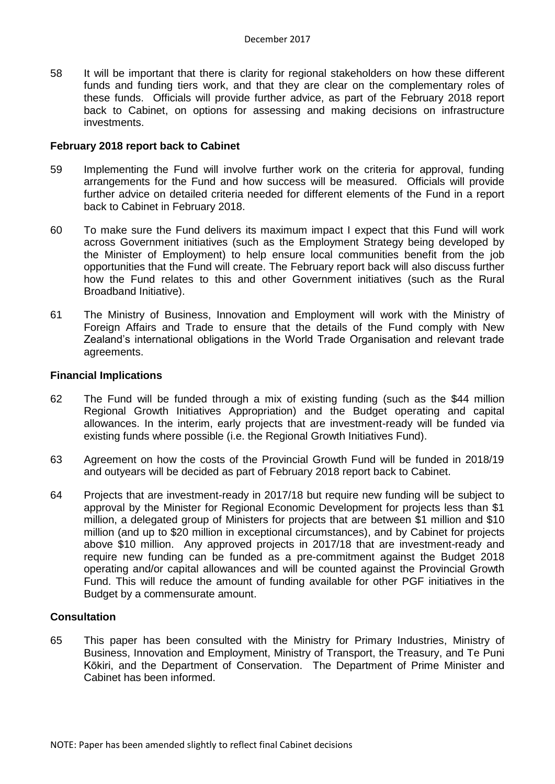58 It will be important that there is clarity for regional stakeholders on how these different funds and funding tiers work, and that they are clear on the complementary roles of these funds. Officials will provide further advice, as part of the February 2018 report back to Cabinet, on options for assessing and making decisions on infrastructure investments.

#### **February 2018 report back to Cabinet**

- 59 Implementing the Fund will involve further work on the criteria for approval, funding arrangements for the Fund and how success will be measured. Officials will provide further advice on detailed criteria needed for different elements of the Fund in a report back to Cabinet in February 2018.
- 60 To make sure the Fund delivers its maximum impact I expect that this Fund will work across Government initiatives (such as the Employment Strategy being developed by the Minister of Employment) to help ensure local communities benefit from the job opportunities that the Fund will create. The February report back will also discuss further how the Fund relates to this and other Government initiatives (such as the Rural Broadband Initiative).
- 61 The Ministry of Business, Innovation and Employment will work with the Ministry of Foreign Affairs and Trade to ensure that the details of the Fund comply with New Zealand's international obligations in the World Trade Organisation and relevant trade agreements.

#### **Financial Implications**

- 62 The Fund will be funded through a mix of existing funding (such as the \$44 million Regional Growth Initiatives Appropriation) and the Budget operating and capital allowances. In the interim, early projects that are investment-ready will be funded via existing funds where possible (i.e. the Regional Growth Initiatives Fund).
- 63 Agreement on how the costs of the Provincial Growth Fund will be funded in 2018/19 and outyears will be decided as part of February 2018 report back to Cabinet.
- 64 Projects that are investment-ready in 2017/18 but require new funding will be subject to approval by the Minister for Regional Economic Development for projects less than \$1 million, a delegated group of Ministers for projects that are between \$1 million and \$10 million (and up to \$20 million in exceptional circumstances), and by Cabinet for projects above \$10 million. Any approved projects in 2017/18 that are investment-ready and require new funding can be funded as a pre-commitment against the Budget 2018 operating and/or capital allowances and will be counted against the Provincial Growth Fund. This will reduce the amount of funding available for other PGF initiatives in the Budget by a commensurate amount.

## **Consultation**

65 This paper has been consulted with the Ministry for Primary Industries, Ministry of Business, Innovation and Employment, Ministry of Transport, the Treasury, and [Te Puni](http://www.tpk.govt.nz/en/mo-te-puni-kokiri/who-we-are/our-people/executive-team)  [Kōkiri,](http://www.tpk.govt.nz/en/mo-te-puni-kokiri/who-we-are/our-people/executive-team) and the Department of Conservation. The Department of Prime Minister and Cabinet has been informed.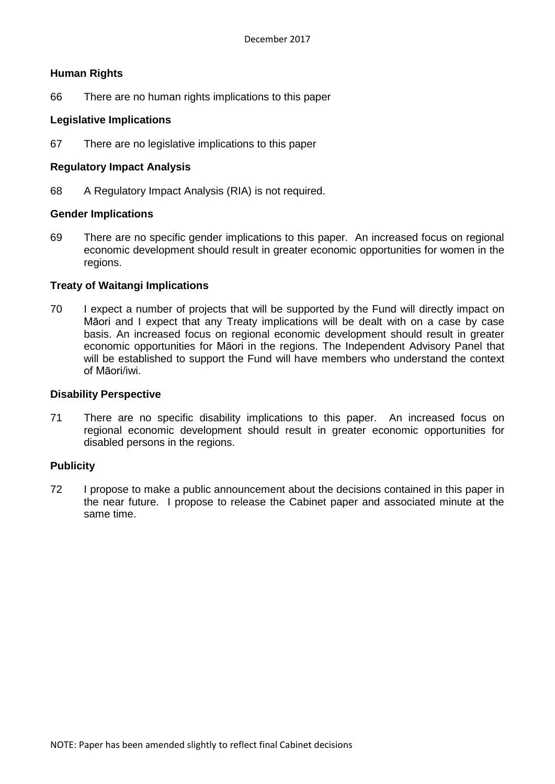## **Human Rights**

66 There are no human rights implications to this paper

## **Legislative Implications**

67 There are no legislative implications to this paper

## **Regulatory Impact Analysis**

68 A Regulatory Impact Analysis (RIA) is not required.

## **Gender Implications**

69 There are no specific gender implications to this paper. An increased focus on regional economic development should result in greater economic opportunities for women in the regions.

## **Treaty of Waitangi Implications**

70 I expect a number of projects that will be supported by the Fund will directly impact on Māori and I expect that any Treaty implications will be dealt with on a case by case basis. An increased focus on regional economic development should result in greater economic opportunities for Māori in the regions. The Independent Advisory Panel that will be established to support the Fund will have members who understand the context of Māori/iwi.

## **Disability Perspective**

71 There are no specific disability implications to this paper. An increased focus on regional economic development should result in greater economic opportunities for disabled persons in the regions.

## **Publicity**

72 I propose to make a public announcement about the decisions contained in this paper in the near future. I propose to release the Cabinet paper and associated minute at the same time.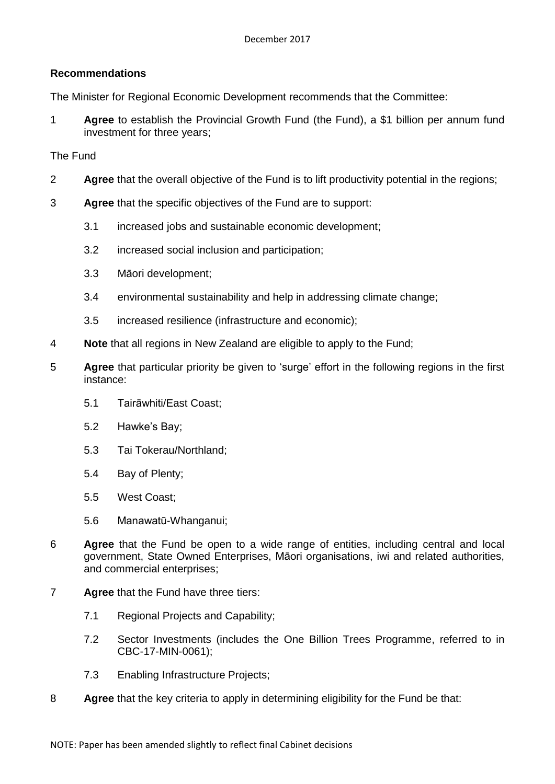# **Recommendations**

The Minister for Regional Economic Development recommends that the Committee:

1 **Agree** to establish the Provincial Growth Fund (the Fund), a \$1 billion per annum fund investment for three years;

## The Fund

- 2 **Agree** that the overall objective of the Fund is to lift productivity potential in the regions;
- 3 **Agree** that the specific objectives of the Fund are to support:
	- 3.1 increased jobs and sustainable economic development;
	- 3.2 increased social inclusion and participation;
	- 3.3 Māori development;
	- 3.4 environmental sustainability and help in addressing climate change;
	- 3.5 increased resilience (infrastructure and economic);
- 4 **Note** that all regions in New Zealand are eligible to apply to the Fund;
- 5 **Agree** that particular priority be given to 'surge' effort in the following regions in the first instance:
	- 5.1 Tairāwhiti/East Coast;
	- 5.2 Hawke's Bay;
	- 5.3 Tai Tokerau/Northland;
	- 5.4 Bay of Plenty;
	- 5.5 West Coast;
	- 5.6 Manawatū-Whanganui;
- 6 **Agree** that the Fund be open to a wide range of entities, including central and local government, State Owned Enterprises, Māori organisations, iwi and related authorities, and commercial enterprises;
- 7 **Agree** that the Fund have three tiers:
	- 7.1 Regional Projects and Capability;
	- 7.2 Sector Investments (includes the One Billion Trees Programme, referred to in CBC-17-MIN-0061);
	- 7.3 Enabling Infrastructure Projects;
- 8 **Agree** that the key criteria to apply in determining eligibility for the Fund be that: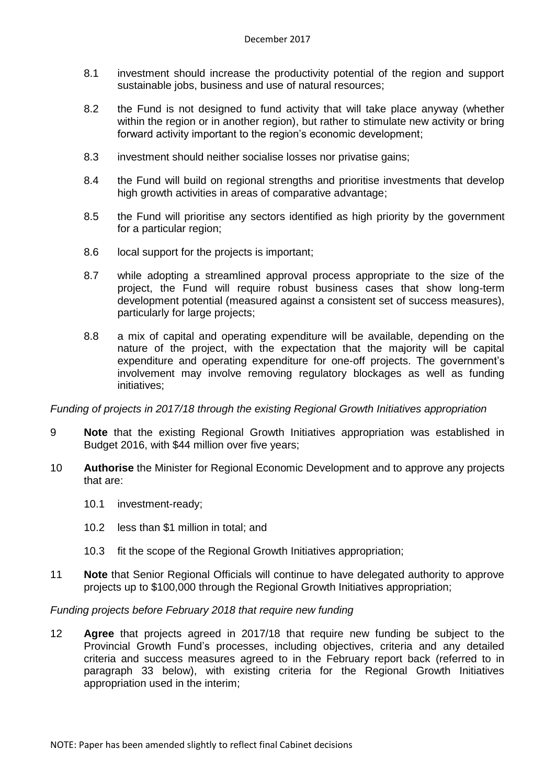- 8.1 investment should increase the productivity potential of the region and support sustainable jobs, business and use of natural resources;
- 8.2 the Fund is not designed to fund activity that will take place anyway (whether within the region or in another region), but rather to stimulate new activity or bring forward activity important to the region's economic development;
- 8.3 investment should neither socialise losses nor privatise gains;
- 8.4 the Fund will build on regional strengths and prioritise investments that develop high growth activities in areas of comparative advantage:
- 8.5 the Fund will prioritise any sectors identified as high priority by the government for a particular region;
- 8.6 local support for the projects is important;
- 8.7 while adopting a streamlined approval process appropriate to the size of the project, the Fund will require robust business cases that show long-term development potential (measured against a consistent set of success measures), particularly for large projects;
- 8.8 a mix of capital and operating expenditure will be available, depending on the nature of the project, with the expectation that the majority will be capital expenditure and operating expenditure for one-off projects. The government's involvement may involve removing regulatory blockages as well as funding initiatives;

*Funding of projects in 2017/18 through the existing Regional Growth Initiatives appropriation*

- 9 **Note** that the existing Regional Growth Initiatives appropriation was established in Budget 2016, with \$44 million over five years;
- 10 **Authorise** the Minister for Regional Economic Development and to approve any projects that are:
	- 10.1 investment-ready;
	- 10.2 less than \$1 million in total; and
	- 10.3 fit the scope of the Regional Growth Initiatives appropriation;
- 11 **Note** that Senior Regional Officials will continue to have delegated authority to approve projects up to \$100,000 through the Regional Growth Initiatives appropriation;

# *Funding projects before February 2018 that require new funding*

12 **Agree** that projects agreed in 2017/18 that require new funding be subject to the Provincial Growth Fund's processes, including objectives, criteria and any detailed criteria and success measures agreed to in the February report back (referred to in paragraph 33 below), with existing criteria for the Regional Growth Initiatives appropriation used in the interim;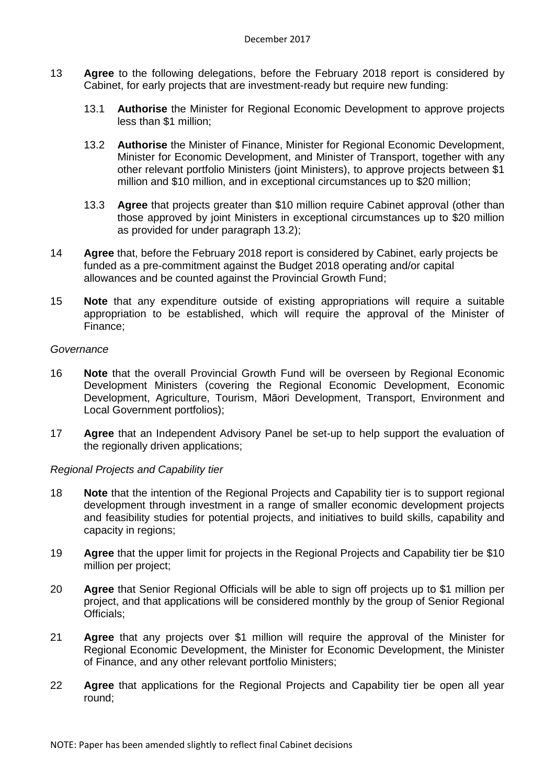- 13 **Agree** to the following delegations, before the February 2018 report is considered by Cabinet, for early projects that are investment-ready but require new funding:
	- 13.1 **Authorise** the Minister for Regional Economic Development to approve projects less than \$1 million;
	- 13.2 **Authorise** the Minister of Finance, Minister for Regional Economic Development, Minister for Economic Development, and Minister of Transport, together with any other relevant portfolio Ministers (joint Ministers), to approve projects between \$1 million and \$10 million, and in exceptional circumstances up to \$20 million;
	- 13.3 **Agree** that projects greater than \$10 million require Cabinet approval (other than those approved by joint Ministers in exceptional circumstances up to \$20 million as provided for under paragraph 13.2);
- 14 **Agree** that, before the February 2018 report is considered by Cabinet, early projects be funded as a pre-commitment against the Budget 2018 operating and/or capital allowances and be counted against the Provincial Growth Fund;
- 15 **Note** that any expenditure outside of existing appropriations will require a suitable appropriation to be established, which will require the approval of the Minister of Finance;

## *Governance*

- 16 **Note** that the overall Provincial Growth Fund will be overseen by Regional Economic Development Ministers (covering the Regional Economic Development, Economic Development, Agriculture, Tourism, Māori Development, Transport, Environment and Local Government portfolios);
- 17 **Agree** that an Independent Advisory Panel be set-up to help support the evaluation of the regionally driven applications;

## *Regional Projects and Capability tier*

- 18 **Note** that the intention of the Regional Projects and Capability tier is to support regional development through investment in a range of smaller economic development projects and feasibility studies for potential projects, and initiatives to build skills, capability and capacity in regions;
- 19 **Agree** that the upper limit for projects in the Regional Projects and Capability tier be \$10 million per project;
- 20 **Agree** that Senior Regional Officials will be able to sign off projects up to \$1 million per project, and that applications will be considered monthly by the group of Senior Regional Officials;
- 21 **Agree** that any projects over \$1 million will require the approval of the Minister for Regional Economic Development, the Minister for Economic Development, the Minister of Finance, and any other relevant portfolio Ministers;
- 22 **Agree** that applications for the Regional Projects and Capability tier be open all year round;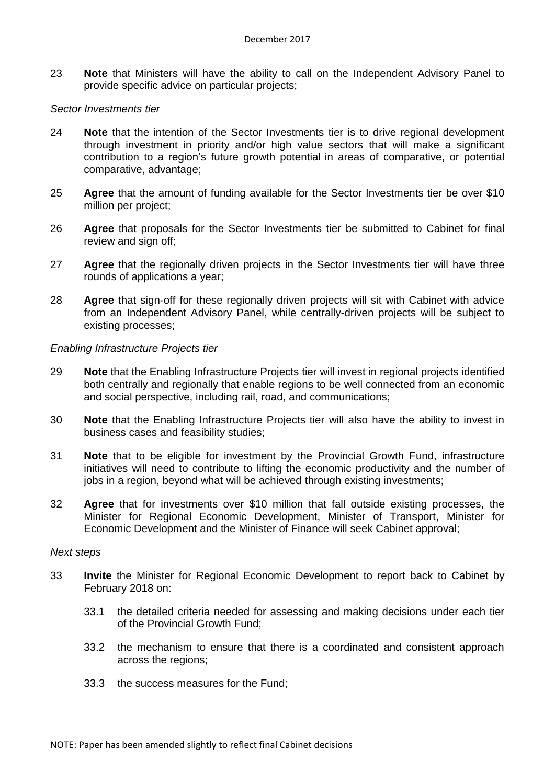23 **Note** that Ministers will have the ability to call on the Independent Advisory Panel to provide specific advice on particular projects;

## *Sector Investments tier*

- 24 **Note** that the intention of the Sector Investments tier is to drive regional development through investment in priority and/or high value sectors that will make a significant contribution to a region's future growth potential in areas of comparative, or potential comparative, advantage;
- 25 **Agree** that the amount of funding available for the Sector Investments tier be over \$10 million per project;
- 26 **Agree** that proposals for the Sector Investments tier be submitted to Cabinet for final review and sign off;
- 27 **Agree** that the regionally driven projects in the Sector Investments tier will have three rounds of applications a year;
- 28 **Agree** that sign-off for these regionally driven projects will sit with Cabinet with advice from an Independent Advisory Panel, while centrally-driven projects will be subject to existing processes;

## *Enabling Infrastructure Projects tier*

- 29 **Note** that the Enabling Infrastructure Projects tier will invest in regional projects identified both centrally and regionally that enable regions to be well connected from an economic and social perspective, including rail, road, and communications;
- 30 **Note** that the Enabling Infrastructure Projects tier will also have the ability to invest in business cases and feasibility studies;
- 31 **Note** that to be eligible for investment by the Provincial Growth Fund, infrastructure initiatives will need to contribute to lifting the economic productivity and the number of jobs in a region, beyond what will be achieved through existing investments;
- 32 **Agree** that for investments over \$10 million that fall outside existing processes, the Minister for Regional Economic Development, Minister of Transport, Minister for Economic Development and the Minister of Finance will seek Cabinet approval;

## *Next steps*

- 33 **Invite** the Minister for Regional Economic Development to report back to Cabinet by February 2018 on:
	- 33.1 the detailed criteria needed for assessing and making decisions under each tier of the Provincial Growth Fund;
	- 33.2 the mechanism to ensure that there is a coordinated and consistent approach across the regions;
	- 33.3 the success measures for the Fund;